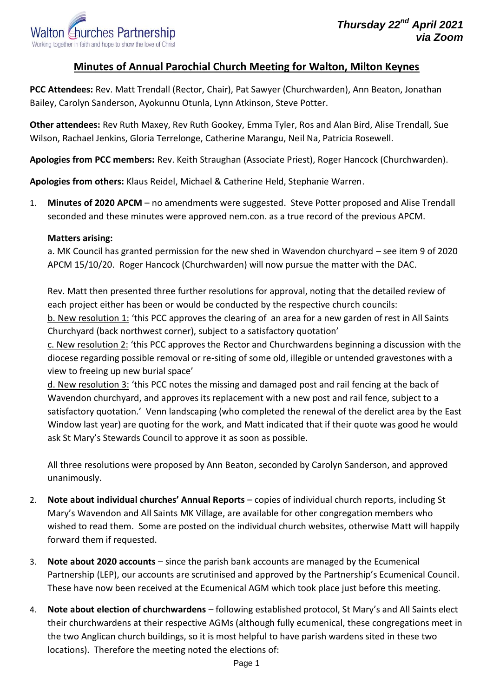## **Minutes of Annual Parochial Church Meeting for Walton, Milton Keynes**

**PCC Attendees:** Rev. Matt Trendall (Rector, Chair), Pat Sawyer (Churchwarden), Ann Beaton, Jonathan Bailey, Carolyn Sanderson, Ayokunnu Otunla, Lynn Atkinson, Steve Potter.

**Other attendees:** Rev Ruth Maxey, Rev Ruth Gookey, Emma Tyler, Ros and Alan Bird, Alise Trendall, Sue Wilson, Rachael Jenkins, Gloria Terrelonge, Catherine Marangu, Neil Na, Patricia Rosewell.

**Apologies from PCC members:** Rev. Keith Straughan (Associate Priest), Roger Hancock (Churchwarden).

**Apologies from others:** Klaus Reidel, Michael & Catherine Held, Stephanie Warren.

1. **Minutes of 2020 APCM** – no amendments were suggested. Steve Potter proposed and Alise Trendall seconded and these minutes were approved nem.con. as a true record of the previous APCM.

## **Matters arising:**

a. MK Council has granted permission for the new shed in Wavendon churchyard – see item 9 of 2020 APCM 15/10/20. Roger Hancock (Churchwarden) will now pursue the matter with the DAC.

Rev. Matt then presented three further resolutions for approval, noting that the detailed review of each project either has been or would be conducted by the respective church councils:

b. New resolution 1: 'this PCC approves the clearing of an area for a new garden of rest in All Saints Churchyard (back northwest corner), subject to a satisfactory quotation'

c. New resolution 2: 'this PCC approves the Rector and Churchwardens beginning a discussion with the diocese regarding possible removal or re-siting of some old, illegible or untended gravestones with a view to freeing up new burial space'

d. New resolution 3: 'this PCC notes the missing and damaged post and rail fencing at the back of Wavendon churchyard, and approves its replacement with a new post and rail fence, subject to a satisfactory quotation.' Venn landscaping (who completed the renewal of the derelict area by the East Window last year) are quoting for the work, and Matt indicated that if their quote was good he would ask St Mary's Stewards Council to approve it as soon as possible.

All three resolutions were proposed by Ann Beaton, seconded by Carolyn Sanderson, and approved unanimously.

- 2. **Note about individual churches' Annual Reports** copies of individual church reports, including St Mary's Wavendon and All Saints MK Village, are available for other congregation members who wished to read them. Some are posted on the individual church websites, otherwise Matt will happily forward them if requested.
- 3. **Note about 2020 accounts** since the parish bank accounts are managed by the Ecumenical Partnership (LEP), our accounts are scrutinised and approved by the Partnership's Ecumenical Council. These have now been received at the Ecumenical AGM which took place just before this meeting.
- 4. **Note about election of churchwardens** following established protocol, St Mary's and All Saints elect their churchwardens at their respective AGMs (although fully ecumenical, these congregations meet in the two Anglican church buildings, so it is most helpful to have parish wardens sited in these two locations). Therefore the meeting noted the elections of: